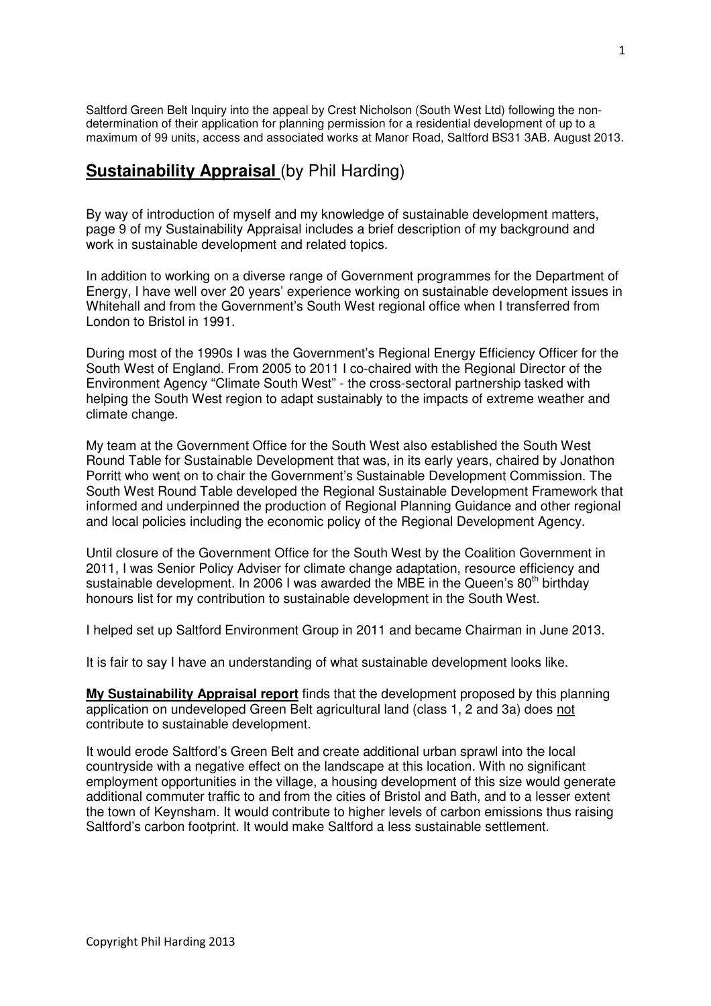Saltford Green Belt Inquiry into the appeal by Crest Nicholson (South West Ltd) following the nondetermination of their application for planning permission for a residential development of up to a maximum of 99 units, access and associated works at Manor Road, Saltford BS31 3AB. August 2013.

## **Sustainability Appraisal (by Phil Harding)**

By way of introduction of myself and my knowledge of sustainable development matters, page 9 of my Sustainability Appraisal includes a brief description of my background and work in sustainable development and related topics.

In addition to working on a diverse range of Government programmes for the Department of Energy, I have well over 20 years' experience working on sustainable development issues in Whitehall and from the Government's South West regional office when I transferred from London to Bristol in 1991.

During most of the 1990s I was the Government's Regional Energy Efficiency Officer for the South West of England. From 2005 to 2011 I co-chaired with the Regional Director of the Environment Agency "Climate South West" - the cross-sectoral partnership tasked with helping the South West region to adapt sustainably to the impacts of extreme weather and climate change.

My team at the Government Office for the South West also established the South West Round Table for Sustainable Development that was, in its early years, chaired by Jonathon Porritt who went on to chair the Government's Sustainable Development Commission. The South West Round Table developed the Regional Sustainable Development Framework that informed and underpinned the production of Regional Planning Guidance and other regional and local policies including the economic policy of the Regional Development Agency.

Until closure of the Government Office for the South West by the Coalition Government in 2011, I was Senior Policy Adviser for climate change adaptation, resource efficiency and sustainable development. In 2006 I was awarded the MBE in the Queen's  $80<sup>th</sup>$  birthday honours list for my contribution to sustainable development in the South West.

I helped set up Saltford Environment Group in 2011 and became Chairman in June 2013.

It is fair to say I have an understanding of what sustainable development looks like.

**My Sustainability Appraisal report** finds that the development proposed by this planning application on undeveloped Green Belt agricultural land (class 1, 2 and 3a) does not contribute to sustainable development.

It would erode Saltford's Green Belt and create additional urban sprawl into the local countryside with a negative effect on the landscape at this location. With no significant employment opportunities in the village, a housing development of this size would generate additional commuter traffic to and from the cities of Bristol and Bath, and to a lesser extent the town of Keynsham. It would contribute to higher levels of carbon emissions thus raising Saltford's carbon footprint. It would make Saltford a less sustainable settlement.